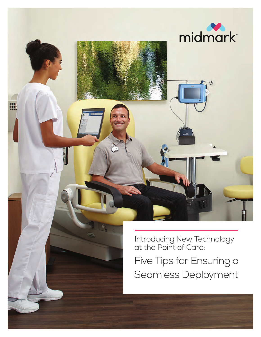

m

Introducing New Technology at the Point of Care:

Five Tips for Ensuring a Seamless Deployment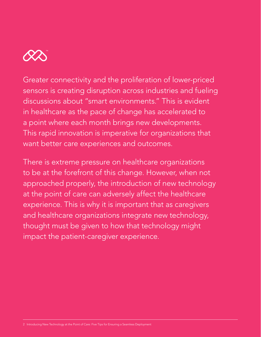

Greater connectivity and the proliferation of lower-priced sensors is creating disruption across industries and fueling discussions about "smart environments." This is evident in healthcare as the pace of change has accelerated to a point where each month brings new developments. This rapid innovation is imperative for organizations that want better care experiences and outcomes.

There is extreme pressure on healthcare organizations to be at the forefront of this change. However, when not approached properly, the introduction of new technology at the point of care can adversely affect the healthcare experience. This is why it is important that as caregivers and healthcare organizations integrate new technology, thought must be given to how that technology might impact the patient-caregiver experience.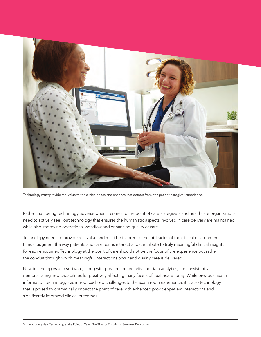

Technology must provide real value to the clinical space and enhance, not detract from, the patient-caregiver experience.

Rather than being technology adverse when it comes to the point of care, caregivers and healthcare organizations need to actively seek out technology that ensures the humanistic aspects involved in care delivery are maintained while also improving operational workflow and enhancing quality of care.

Technology needs to provide real value and must be tailored to the intricacies of the clinical environment. It must augment the way patients and care teams interact and contribute to truly meaningful clinical insights for each encounter. Technology at the point of care should not be the focus of the experience but rather the conduit through which meaningful interactions occur and quality care is delivered.

New technologies and software, along with greater connectivity and data analytics, are consistently demonstrating new capabilities for positively affecting many facets of healthcare today. While previous health information technology has introduced new challenges to the exam room experience, it is also technology that is poised to dramatically impact the point of care with enhanced provider-patient interactions and significantly improved clinical outcomes.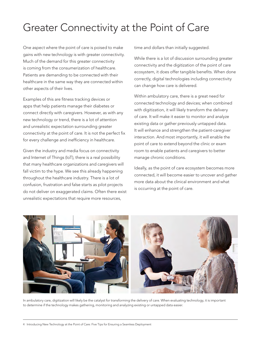## Greater Connectivity at the Point of Care

One aspect where the point of care is poised to make gains with new technology is with greater connectivity. Much of the demand for this greater connectivity is coming from the consumerization of healthcare. Patients are demanding to be connected with their healthcare in the same way they are connected within other aspects of their lives.

Examples of this are fitness tracking devices or apps that help patients manage their diabetes or connect directly with caregivers. However, as with any new technology or trend, there is a lot of attention and unrealistic expectation surrounding greater connectivity at the point of care. It is not the perfect fix for every challenge and inefficiency in healthcare.

Given the industry and media focus on connectivity and Internet of Things (IoT), there is a real possibility that many healthcare organizations and caregivers will fall victim to the hype. We see this already happening throughout the healthcare industry. There is a lot of confusion, frustration and false starts as pilot projects do not deliver on exaggerated claims. Often there exist unrealistic expectations that require more resources,

time and dollars than initially suggested.

While there is a lot of discussion surrounding greater connectivity and the digitization of the point of care ecosystem, it does offer tangible benefits. When done correctly, digital technologies including connectivity can change how care is delivered.

Within ambulatory care, there is a great need for connected technology and devices; when combined with digitization, it will likely transform the delivery of care. It will make it easier to monitor and analyze existing data or gather previously untapped data. It will enhance and strengthen the patient-caregiver interaction. And most importantly, it will enable the point of care to extend beyond the clinic or exam room to enable patients and caregivers to better manage chronic conditions.

Ideally, as the point of care ecosystem becomes more connected, it will become easier to uncover and gather more data about the clinical environment and what is occurring at the point of care.



In ambulatory care, digitization will likely be the catalyst for transforming the delivery of care. When evaluating technology, it is important to determine if the technology makes gathering, monitoring and analyzing existing or untapped data easier.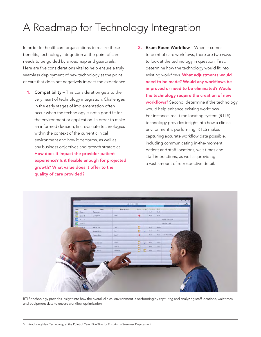## A Roadmap for Technology Integration

In order for healthcare organizations to realize these benefits, technology integration at the point of care needs to be guided by a roadmap and guardrails. Here are five considerations vital to help ensure a truly seamless deployment of new technology at the point of care that does not negatively impact the experience.

- 1. Compatibility This consideration gets to the very heart of technology integration. Challenges in the early stages of implementation often occur when the technology is not a good fit for the environment or application. In order to make an informed decision, first evaluate technologies within the context of the current clinical environment and how it performs, as well as any business objectives and growth strategies. How does it impact the provider-patient experience? Is it flexible enough for projected growth? What value does it offer to the quality of care provided?
- 2. Exam Room Workflow When it comes to point of care workflows, there are two ways to look at the technology in question. First, determine how the technology would fit into existing workflows. What adjustments would need to be made? Would any workflows be improved or need to be eliminated? Would the technology require the creation of new workflows? Second, determine if the technology would help enhance existing workflows. For instance, real-time locating system (RTLS) technology provides insight into how a clinical environment is performing. RTLS makes capturing accurate workflow data possible, including communicating in-the-moment patient and staff locations, wait times and staff interactions, as well as providing a vast amount of retrospective detail.



RTLS technology provides insight into how the overall clinical environment is performing by capturing and analyzing staff locations, wait times and equipment data to ensure workflow optimization.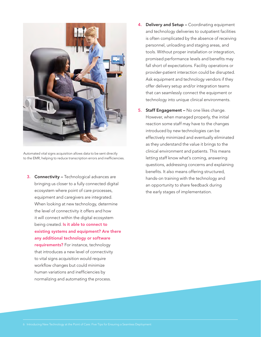

Automated vital signs acquisition allows data to be sent directly to the EMR, helping to reduce transcription errors and inefficiencies.

**3.** Connectivity – Technological advances are bringing us closer to a fully connected digital ecosystem where point of care processes, equipment and caregivers are integrated. When looking at new technology, determine the level of connectivity it offers and how it will connect within the digital ecosystem being created. Is it able to connect to existing systems and equipment? Are there any additional technology or software requirements? For instance, technology that introduces a new level of connectivity to vital signs acquisition would require workflow changes but could minimize human variations and inefficiencies by normalizing and automating the process.

- 4. Delivery and Setup Coordinating equipment and technology deliveries to outpatient facilities is often complicated by the absence of receiving personnel, unloading and staging areas, and tools. Without proper installation or integration, promised performance levels and benefits may fall short of expectations. Facility operations or provider-patient interaction could be disrupted. Ask equipment and technology vendors if they offer delivery setup and/or integration teams that can seamlessly connect the equipment or technology into unique clinical environments.
- 5. Staff Engagement No one likes change. However, when managed properly, the initial reaction some staff may have to the changes introduced by new technologies can be effectively minimized and eventually eliminated as they understand the value it brings to the clinical environment and patients. This means letting staff know what's coming, answering questions, addressing concerns and explaining benefits. It also means offering structured, hands-on training with the technology and an opportunity to share feedback during the early stages of implementation.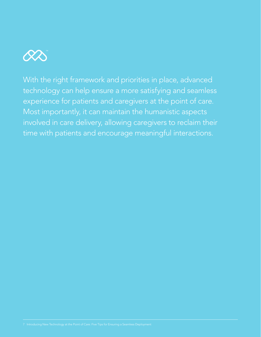

With the right framework and priorities in place, advanced technology can help ensure a more satisfying and seamless experience for patients and caregivers at the point of care. Most importantly, it can maintain the humanistic aspects involved in care delivery, allowing caregivers to reclaim their time with patients and encourage meaningful interactions.